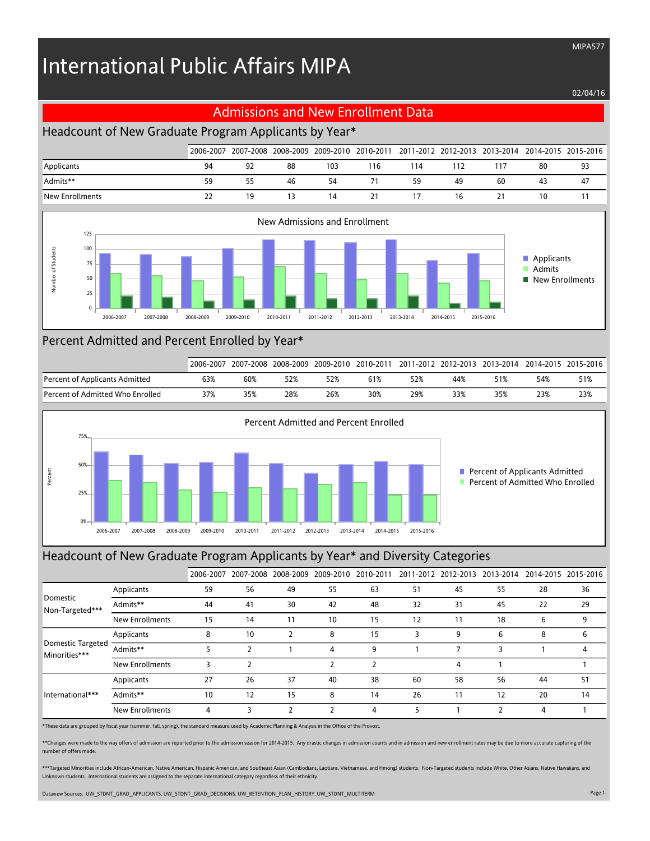# International Public Affairs MIPA

#### 02/04/16

MIPA577

#### Admissions and New Enrollment Data

# Headcount of New Graduate Program Applicants by Year\*

|                 | 2006-2007 |    |    |     |     |     |     | 2007-2008 2008-2009 2009-2010 2010-2011 2011-2012 2012-2013 2013-2014 2014-2015 2015-2016 |    |    |
|-----------------|-----------|----|----|-----|-----|-----|-----|-------------------------------------------------------------------------------------------|----|----|
| Applicants      | 94        | 92 | 88 | 103 | 116 | 114 | 112 | 117                                                                                       | 80 | 93 |
| Admits**        | 59        | 55 | 46 | 54  |     | 59  | 49  | 60                                                                                        | 43 | 47 |
| New Enrollments | 22        | 19 |    | 14  | 21  |     | 16  |                                                                                           | 10 |    |



### Percent Admitted and Percent Enrolled by Year\*

|                                  | 2006-2007 | 2007-2008 | 2008-2009 | 2009-2010 | 2010-2011 |     |     | 2011-2012 2012-2013 2013-2014 |     | 2014-2015 2015-2016 |
|----------------------------------|-----------|-----------|-----------|-----------|-----------|-----|-----|-------------------------------|-----|---------------------|
| Percent of Applicants Admitted   | 63%       | 60%       | 52%       |           | 61%       | 52% | 44% | 51%                           | 54% | 51%                 |
| Percent of Admitted Who Enrolled | 37%       | 35%       | 28%       | 26%       | 30%       | 29% | 33% | 35%                           | 23% | 23%                 |



#### Headcount of New Graduate Program Applicants by Year\* and Diversity Categories

|                                    |                        | 2006-2007 |    | 2007-2008 2008-2009 | 2009-2010      | 2010-2011 |    | 2011-2012 2012-2013 | 2013-2014 | 2014-2015 2015-2016 |     |
|------------------------------------|------------------------|-----------|----|---------------------|----------------|-----------|----|---------------------|-----------|---------------------|-----|
| Domestic<br>Non-Targeted***        | Applicants             | 59        | 56 | 49                  | 55             | 63        | 51 | 45                  | 55        | 28                  | 36  |
|                                    | Admits**               | 44        | 41 | 30                  | 42             | 48        | 32 | 31                  | 45        | 22                  | 29  |
|                                    | New Enrollments        | 15        | 14 | 11                  | 10             | 15        | 12 | 11                  | 18        | 6                   | 9   |
|                                    | Applicants             | 8         | 10 | 2                   | 8              | 15        | 3  | 9                   | 6         | 8                   | 6   |
| Domestic Targeted<br>Minorities*** | Admits**               |           |    |                     | 4              | 9         |    |                     | ς         |                     | 4   |
|                                    | <b>New Enrollments</b> | 3         |    |                     | 2              |           |    | 4                   |           |                     |     |
| International***                   | Applicants             | 27        | 26 | 37                  | 40             | 38        | 60 | 58                  | 56        | 44                  | -51 |
|                                    | Admits**               | 10        | 12 | 15                  | 8              | 14        | 26 | 11                  | 12        | 20                  | 14  |
|                                    | New Enrollments        | 4         | 3  | ำ                   | $\overline{2}$ | 4         | 5  |                     |           | 4                   |     |

\*These data are grouped by fiscal year (summer, fall, spring), the standard measure used by Academic Planning & Analysis in the Office of the Provost.

\*\*Changes were made to the way offers of admission are reported prior to the admission season for 2014-2015. Any drastic changes in admission counts and in admission and new enrollment rates may be due to more accurate cap number of offers made.

\*\*\*Targeted Minorities include African-American, Native American, Hispanic American, and Southeast Asian (Cambodians, Laotians, Vietnamese, and Hmong) students. Non-Targeted students include White, Other Asians, Native Haw Unknown students. International students are assigned to the separate international category regardless of their ethnicity.

Dataview Sources: UW\_STDNT\_GRAD\_APPLICANTS, UW\_STDNT\_GRAD\_DECISIONS, UW\_RETENTION\_PLAN\_HISTORY, UW\_STDNT\_MULTITERM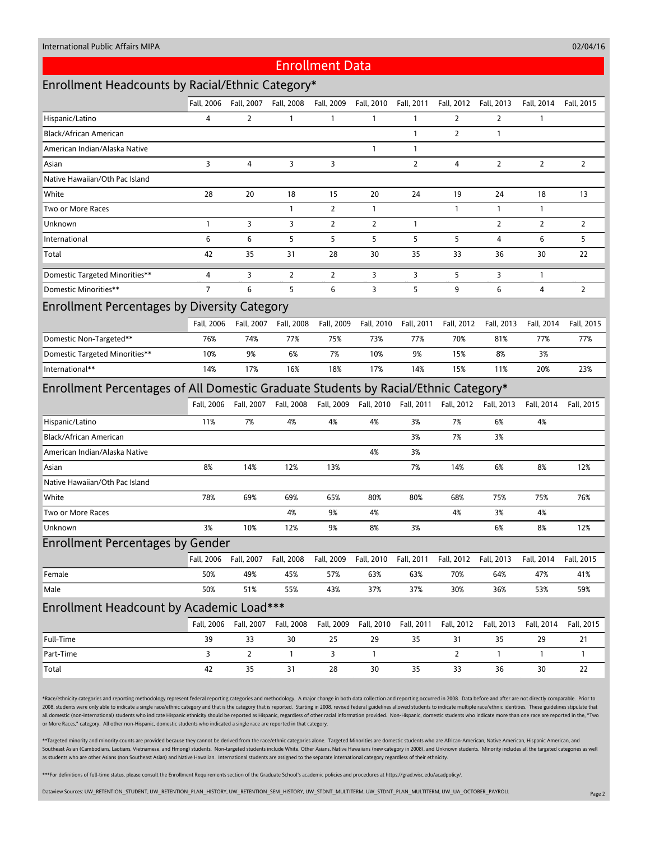#### 02/04/16

#### Enrollment Data

# Enrollment Headcounts by Racial/Ethnic Category\*

|                                                                                     | Fall, 2006     | Fall, 2007     | Fall, 2008     | Fall, 2009     | Fall, 2010     | Fall, 2011            | Fall, 2012     | Fall, 2013             | Fall, 2014     | Fall, 2015     |  |  |  |
|-------------------------------------------------------------------------------------|----------------|----------------|----------------|----------------|----------------|-----------------------|----------------|------------------------|----------------|----------------|--|--|--|
| Hispanic/Latino                                                                     | 4              | 2              | 1              | 1              | $\mathbf{1}$   | $\mathbf{1}$          | 2              | 2                      | 1              |                |  |  |  |
| Black/African American                                                              |                |                |                |                |                | $\mathbf{1}$          | $\overline{2}$ | $\mathbf{1}$           |                |                |  |  |  |
| American Indian/Alaska Native                                                       |                |                |                |                | $\mathbf{1}$   | $\mathbf{1}$          |                |                        |                |                |  |  |  |
| Asian                                                                               | 3              | 4              | 3              | 3              |                | $\overline{2}$        | 4              | $\overline{2}$         | $\overline{2}$ | $\overline{2}$ |  |  |  |
| Native Hawaiian/Oth Pac Island                                                      |                |                |                |                |                |                       |                |                        |                |                |  |  |  |
| White                                                                               | 28             | 20             | 18             | 15             | 20             | 24                    | 19             | 24                     | 18             | 13             |  |  |  |
| Two or More Races                                                                   |                |                | 1              | 2              | $\mathbf{1}$   |                       | 1              | $\mathbf{1}$           | 1              |                |  |  |  |
| Unknown                                                                             | $\mathbf{1}$   | 3              | 3              | 2              | $\overline{2}$ | $\mathbf{1}$          |                | 2                      | 2              | $\overline{2}$ |  |  |  |
| International                                                                       | 6              | 6              | 5              | 5              | 5              | 5                     | 5              | 4                      | 6              | 5              |  |  |  |
| Total                                                                               | 42             | 35             | 31             | 28             | 30             | 35                    | 33             | 36                     | 30             | 22             |  |  |  |
| Domestic Targeted Minorities**                                                      | 4              | 3              | $\overline{2}$ | $\overline{2}$ | 3              | 3                     | 5              | 3                      | 1              |                |  |  |  |
| Domestic Minorities**                                                               | $\overline{7}$ | 6              | 5              | 6              | 3              | 5                     | 9              | 6                      | 4              | $\overline{2}$ |  |  |  |
| <b>Enrollment Percentages by Diversity Category</b>                                 |                |                |                |                |                |                       |                |                        |                |                |  |  |  |
|                                                                                     | Fall, 2006     | Fall, 2007     | Fall, 2008     | Fall, 2009     | Fall, 2010     | Fall, 2011            | Fall, 2012     | Fall, 2013             | Fall, 2014     | Fall, 2015     |  |  |  |
| Domestic Non-Targeted**                                                             | 76%            | 74%            | 77%            | 75%            | 73%            | 77%                   | 70%            | 81%                    | 77%            | 77%            |  |  |  |
| Domestic Targeted Minorities**                                                      | 10%            | 9%             | 6%             | 7%             | 10%            | 9%                    | 15%            | 8%                     | 3%             |                |  |  |  |
| International**                                                                     | 14%            | 17%            | 16%            | 18%            | 17%            | 14%                   | 15%            | 11%                    | 20%            | 23%            |  |  |  |
| Enrollment Percentages of All Domestic Graduate Students by Racial/Ethnic Category* |                |                |                |                |                |                       |                |                        |                |                |  |  |  |
|                                                                                     | Fall, 2006     | Fall, 2007     | Fall, 2008     | Fall, 2009     |                | Fall, 2010 Fall, 2011 |                | Fall, 2012  Fall, 2013 | Fall, 2014     | Fall, 2015     |  |  |  |
| Hispanic/Latino                                                                     | 11%            | 7%             | 4%             | 4%             | 4%             | 3%                    | 7%             | 6%                     | 4%             |                |  |  |  |
| Black/African American                                                              |                |                |                |                |                | 3%                    | 7%             | 3%                     |                |                |  |  |  |
| American Indian/Alaska Native                                                       |                |                |                |                | 4%             | 3%                    |                |                        |                |                |  |  |  |
| Asian                                                                               | 8%             | 14%            | 12%            | 13%            |                | 7%                    | 14%            | 6%                     | 8%             | 12%            |  |  |  |
| Native Hawaiian/Oth Pac Island                                                      |                |                |                |                |                |                       |                |                        |                |                |  |  |  |
| White                                                                               | 78%            | 69%            | 69%            | 65%            | 80%            | 80%                   | 68%            | 75%                    | 75%            | 76%            |  |  |  |
| Two or More Races                                                                   |                |                | 4%             | 9%             | 4%             |                       | 4%             | 3%                     | 4%             |                |  |  |  |
| Unknown                                                                             | 3%             | 10%            | 12%            | 9%             | 8%             | 3%                    |                | 6%                     | 8%             | 12%            |  |  |  |
| <b>Enrollment Percentages by Gender</b>                                             |                |                |                |                |                |                       |                |                        |                |                |  |  |  |
|                                                                                     | Fall, 2006     | Fall, 2007     | Fall, 2008     | Fall, 2009     | Fall, 2010     | Fall, 2011            | Fall, 2012     | Fall, 2013             | Fall, 2014     | Fall, 2015     |  |  |  |
| Female                                                                              | 50%            | 49%            | 45%            | 57%            | 63%            | 63%                   | 70%            | 64%                    | 47%            | 41%            |  |  |  |
| Male                                                                                | 50%            | 51%            | 55%            | 43%            | 37%            | 37%                   | 30%            | 36%                    | 53%            | 59%            |  |  |  |
| Enrollment Headcount by Academic Load***                                            |                |                |                |                |                |                       |                |                        |                |                |  |  |  |
|                                                                                     | Fall, 2006     | Fall, 2007     | Fall, 2008     | Fall, 2009     | Fall, 2010     | Fall, 2011            | Fall, 2012     | Fall, 2013             | Fall, 2014     | Fall, 2015     |  |  |  |
| Full-Time                                                                           | 39             | 33             | 30             | 25             | 29             | 35                    | 31             | 35                     | 29             | 21             |  |  |  |
| Part-Time                                                                           | 3              | $\overline{2}$ | 1              | 3              | $\mathbf{1}$   |                       | 2              | $\mathbf{1}$           | 1              | $\mathbf{1}$   |  |  |  |
| Total                                                                               | 42             | 35             | 31             | 28             | 30             | 35                    | 33             | 36                     | 30             | $22\,$         |  |  |  |

\*Race/ethnicity categories and reporting methodology represent federal reporting categories and methodology. A major change in both data collection and reporting occurred in 2008. Data before and after are not directly com 2008, students were only able to indicate a single race/ethnic category and that is the category that is reported. Starting in 2008, revised federal guidelines allowed students to indicate multiple race/ethnic identities. all domestic (non-international) students who indicate Hispanic ethnicity should be reported as Hispanic, regardless of other racial information provided. Non-Hispanic, domestic students who indicate more than one race are or More Races," category. All other non-Hispanic, domestic students who indicated a single race are reported in that category.

\*\*Targeted minority and minority counts are provided because they cannot be derived from the race/ethnic categories alone. Targeted Minorities are domestic students who are African-American, Native American, Hispanic Ameri Southeast Asian (Cambodians, Laotians, Vietnamese, and Hmong) students. Non-targeted students include White, Other Asians, Native Hawaiians (new category in 2008), and Unknown students. Minority includes all the targeted c as students who are other Asians (non Southeast Asian) and Native Hawaiian. International students are assigned to the separate international category regardless of their ethnicity.

\*\*\*For definitions of full-time status, please consult the Enrollment Requirements section of the Graduate School's academic policies and procedures at https://grad.wisc.edu/acadpolicy/.

Dataview Sources: UW\_RETENTION\_STUDENT, UW\_RETENTION\_PLAN\_HISTORY, UW\_RETENTION\_SEM\_HISTORY, UW\_STDNT\_MULTITERM, UW\_STDNT\_PLAN\_MULTITERM, UW\_UA\_OCTOBER\_PAYROLL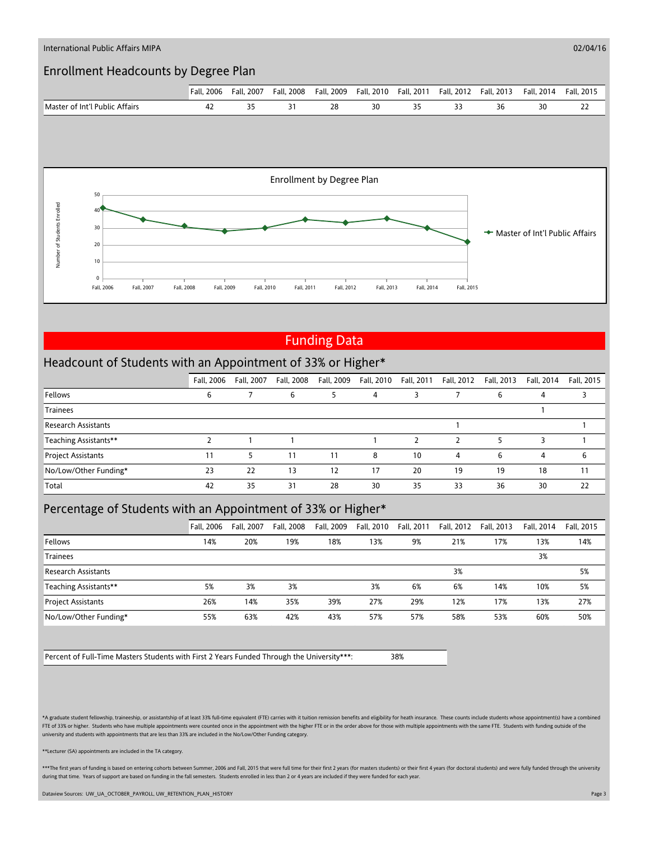

# Funding Data

#### Headcount of Students with an Appointment of 33% or Higher\*

|                            | Fall, 2006 | Fall, 2007 | Fall, 2008 | Fall, 2009 | Fall, 2010 | Fall, 2011 | Fall, 2012 | Fall, 2013 | Fall, 2014 | Fall, 2015 |
|----------------------------|------------|------------|------------|------------|------------|------------|------------|------------|------------|------------|
| Fellows                    | ь          |            | 6          |            | 4          |            |            | b          | 4          |            |
| <b>Trainees</b>            |            |            |            |            |            |            |            |            |            |            |
| <b>Research Assistants</b> |            |            |            |            |            |            |            |            |            |            |
| Teaching Assistants**      |            |            |            |            |            |            |            |            |            |            |
| <b>Project Assistants</b>  | 11         | 5          | 11         | 11         | 8          | 10         | 4          | 6          | 4          | 6          |
| No/Low/Other Funding*      | 23         | 22         | 13         | 12         | 17         | 20         | 19         | 19         | 18         |            |
| Total                      | 42         | 35         | 31         | 28         | 30         | 35         | 33         | 36         | 30         | 22         |

## Percentage of Students with an Appointment of 33% or Higher\*

|                            | Fall, 2006 | Fall, 2007 | Fall, 2008 | Fall, 2009 | Fall. 2010 | Fall, 2011 | Fall, 2012 | Fall, 2013 | Fall. 2014 | Fall. 2015 |
|----------------------------|------------|------------|------------|------------|------------|------------|------------|------------|------------|------------|
| Fellows                    | 14%        | 20%        | 19%        | 18%        | 13%        | 9%         | 21%        | 17%        | 13%        | 14%        |
| <b>Trainees</b>            |            |            |            |            |            |            |            |            | 3%         |            |
| <b>Research Assistants</b> |            |            |            |            |            |            | 3%         |            |            | 5%         |
| Teaching Assistants**      | 5%         | 3%         | 3%         |            | 3%         | 6%         | 6%         | 14%        | 10%        | 5%         |
| <b>Project Assistants</b>  | 26%        | 14%        | 35%        | 39%        | 27%        | 29%        | 12%        | 17%        | 13%        | 27%        |
| No/Low/Other Funding*      | 55%        | 63%        | 42%        | 43%        | 57%        | 57%        | 58%        | 53%        | 60%        | 50%        |

Percent of Full-Time Masters Students with First 2 Years Funded Through the University\*\*\*: 38%

\*A graduate student fellowship, traineeship, or assistantship of at least 33% full-time equivalent (FTE) carries with it tuition remission benefits and eligibility for heath insurance. These counts include students whose a FTE of 33% or higher. Students who have multiple appointments were counted once in the appointment with the higher FTE or in the order above for those with multiple appointments with the same FTE. Students with funding out university and students with appointments that are less than 33% are included in the No/Low/Other Funding category.

\*\*Lecturer (SA) appointments are included in the TA category.

\*\*\*The first years of funding is based on entering cohorts between Summer, 2006 and Fall, 2015 that were full time for their first 2 years (for masters students) or their first 4 years (for doctoral students) and were full during that time. Years of support are based on funding in the fall semesters. Students enrolled in less than 2 or 4 years are included if they were funded for each year

Dataview Sources: UW\_UA\_OCTOBER\_PAYROLL, UW\_RETENTION\_PLAN\_HISTORY